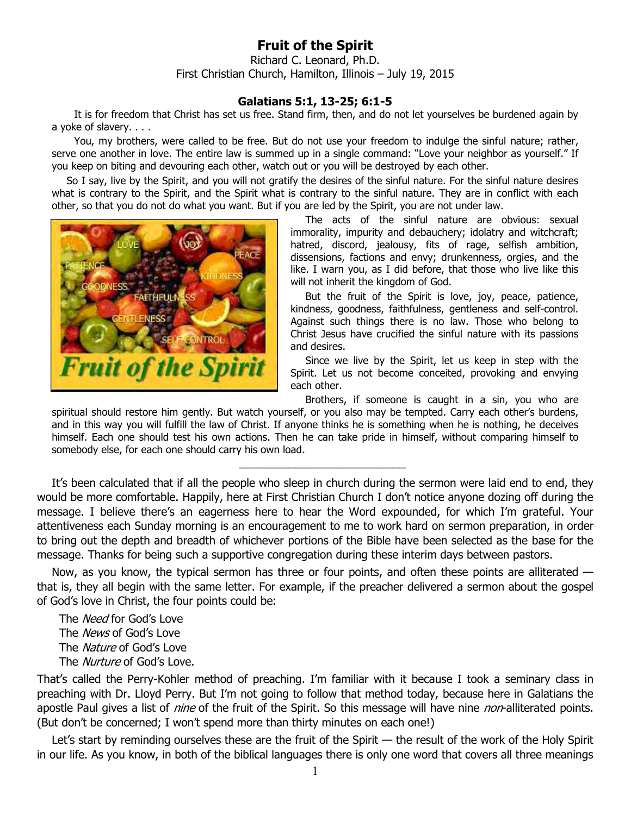## **Fruit of the Spirit**

Richard C. Leonard, Ph.D. First Christian Church, Hamilton, Illinois – July 19, 2015

## **Galatians 5:1, 13-25; 6:1-5**

It is for freedom that Christ has set us free. Stand firm, then, and do not let yourselves be burdened again by a yoke of slavery. . . .

 You, my brothers, were called to be free. But do not use your freedom to indulge the sinful nature; rather, serve one another in love. The entire law is summed up in a single command: "Love your neighbor as yourself." If you keep on biting and devouring each other, watch out or you will be destroyed by each other.

So I say, live by the Spirit, and you will not gratify the desires of the sinful nature. For the sinful nature desires what is contrary to the Spirit, and the Spirit what is contrary to the sinful nature. They are in conflict with each other, so that you do not do what you want. But if you are led by the Spirit, you are not under law.



The acts of the sinful nature are obvious: sexual immorality, impurity and debauchery; idolatry and witchcraft; hatred, discord, jealousy, fits of rage, selfish ambition, dissensions, factions and envy; drunkenness, orgies, and the like. I warn you, as I did before, that those who live like this will not inherit the kingdom of God.

But the fruit of the Spirit is love, joy, peace, patience, kindness, goodness, faithfulness, gentleness and self-control. Against such things there is no law. Those who belong to Christ Jesus have crucified the sinful nature with its passions and desires.

Since we live by the Spirit, let us keep in step with the Spirit. Let us not become conceited, provoking and envying each other.

Brothers, if someone is caught in a sin, you who are spiritual should restore him gently. But watch yourself, or you also may be tempted. Carry each other's burdens, and in this way you will fulfill the law of Christ. If anyone thinks he is something when he is nothing, he deceives himself. Each one should test his own actions. Then he can take pride in himself, without comparing himself to somebody else, for each one should carry his own load.

 $\_$ 

It's been calculated that if all the people who sleep in church during the sermon were laid end to end, they would be more comfortable. Happily, here at First Christian Church I don't notice anyone dozing off during the message. I believe there's an eagerness here to hear the Word expounded, for which I'm grateful. Your attentiveness each Sunday morning is an encouragement to me to work hard on sermon preparation, in order to bring out the depth and breadth of whichever portions of the Bible have been selected as the base for the message. Thanks for being such a supportive congregation during these interim days between pastors.

Now, as you know, the typical sermon has three or four points, and often these points are alliterated that is, they all begin with the same letter. For example, if the preacher delivered a sermon about the gospel of God's love in Christ, the four points could be:

The *Need* for God's Love The *News* of God's Love The *Nature* of God's Love The *Nurture* of God's Love.

That's called the Perry-Kohler method of preaching. I'm familiar with it because I took a seminary class in preaching with Dr. Lloyd Perry. But I'm not going to follow that method today, because here in Galatians the apostle Paul gives a list of *nine* of the fruit of the Spirit. So this message will have nine *non*-alliterated points. (But don't be concerned; I won't spend more than thirty minutes on each one!)

Let's start by reminding ourselves these are the fruit of the Spirit — the result of the work of the Holy Spirit in our life. As you know, in both of the biblical languages there is only one word that covers all three meanings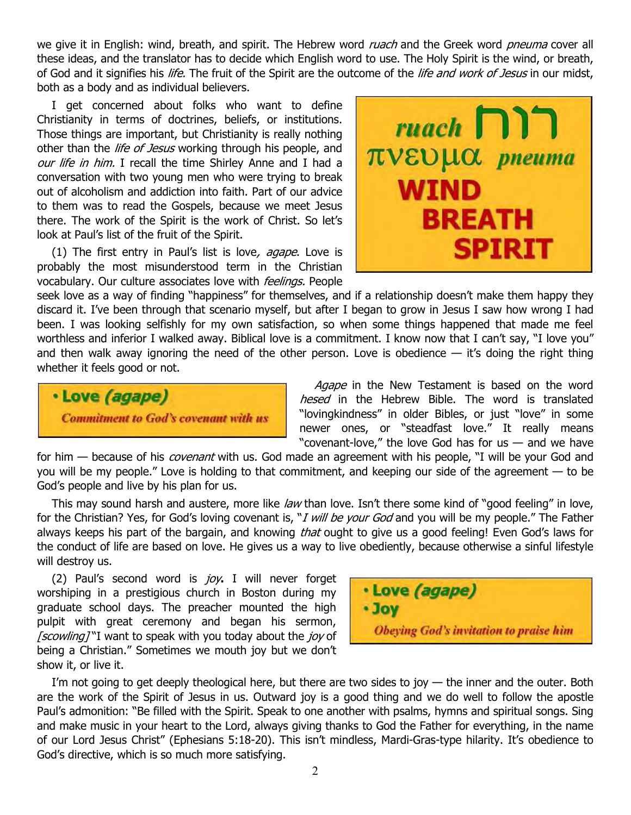we give it in English: wind, breath, and spirit. The Hebrew word *ruach* and the Greek word *pneuma* cover all these ideas, and the translator has to decide which English word to use. The Holy Spirit is the wind, or breath, of God and it signifies his life. The fruit of the Spirit are the outcome of the life and work of Jesus in our midst, both as a body and as individual believers.

I get concerned about folks who want to define Christianity in terms of doctrines, beliefs, or institutions. Those things are important, but Christianity is really nothing other than the *life of Jesus* working through his people, and our life in him. I recall the time Shirley Anne and I had a conversation with two young men who were trying to break out of alcoholism and addiction into faith. Part of our advice to them was to read the Gospels, because we meet Jesus there. The work of the Spirit is the work of Christ. So let's look at Paul's list of the fruit of the Spirit.

(1) The first entry in Paul's list is love, agape. Love is probably the most misunderstood term in the Christian vocabulary. Our culture associates love with *feelings*. People



seek love as a way of finding "happiness" for themselves, and if a relationship doesn't make them happy they discard it. I've been through that scenario myself, but after I began to grow in Jesus I saw how wrong I had been. I was looking selfishly for my own satisfaction, so when some things happened that made me feel worthless and inferior I walked away. Biblical love is a commitment. I know now that I can't say, "I love you" and then walk away ignoring the need of the other person. Love is obedience  $-$  it's doing the right thing whether it feels good or not.



Agape in the New Testament is based on the word hesed in the Hebrew Bible. The word is translated "lovingkindness" in older Bibles, or just "love" in some newer ones, or "steadfast love." It really means "covenant-love," the love God has for us  $-$  and we have

for him — because of his *covenant* with us. God made an agreement with his people, "I will be your God and you will be my people." Love is holding to that commitment, and keeping our side of the agreement — to be God's people and live by his plan for us.

This may sound harsh and austere, more like law than love. Isn't there some kind of "good feeling" in love, for the Christian? Yes, for God's loving covenant is, "I will be your God and you will be my people." The Father always keeps his part of the bargain, and knowing *that* ought to give us a good feeling! Even God's laws for the conduct of life are based on love. He gives us a way to live obediently, because otherwise a sinful lifestyle will destroy us.

(2) Paul's second word is joy**.** I will never forget worshiping in a prestigious church in Boston during my graduate school days. The preacher mounted the high pulpit with great ceremony and began his sermon, [scowling]"I want to speak with you today about the joy of being a Christian." Sometimes we mouth joy but we don't show it, or live it.



I'm not going to get deeply theological here, but there are two sides to joy — the inner and the outer. Both are the work of the Spirit of Jesus in us. Outward joy is a good thing and we do well to follow the apostle Paul's admonition: "Be filled with the Spirit. Speak to one another with psalms, hymns and spiritual songs. Sing and make music in your heart to the Lord, always giving thanks to God the Father for everything, in the name of our Lord Jesus Christ" (Ephesians 5:18-20). This isn't mindless, Mardi-Gras-type hilarity. It's obedience to God's directive, which is so much more satisfying.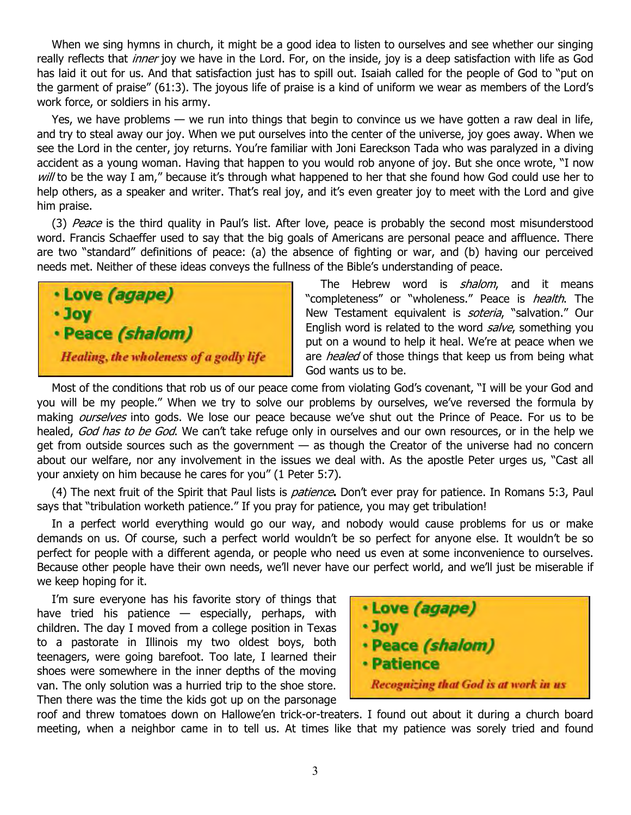When we sing hymns in church, it might be a good idea to listen to ourselves and see whether our singing really reflects that *inner* joy we have in the Lord. For, on the inside, joy is a deep satisfaction with life as God has laid it out for us. And that satisfaction just has to spill out. Isaiah called for the people of God to "put on the garment of praise" (61:3). The joyous life of praise is a kind of uniform we wear as members of the Lord's work force, or soldiers in his army.

Yes, we have problems — we run into things that begin to convince us we have gotten a raw deal in life, and try to steal away our joy. When we put ourselves into the center of the universe, joy goes away. When we see the Lord in the center, joy returns. You're familiar with Joni Eareckson Tada who was paralyzed in a diving accident as a young woman. Having that happen to you would rob anyone of joy. But she once wrote, "I now will to be the way I am," because it's through what happened to her that she found how God could use her to help others, as a speaker and writer. That's real joy, and it's even greater joy to meet with the Lord and give him praise.

(3) Peace is the third quality in Paul's list. After love, peace is probably the second most misunderstood word. Francis Schaeffer used to say that the big goals of Americans are personal peace and affluence. There are two "standard" definitions of peace: (a) the absence of fighting or war, and (b) having our perceived needs met. Neither of these ideas conveys the fullness of the Bible's understanding of peace.

> The Hebrew word is *shalom*, and it means "completeness" or "wholeness." Peace is health. The New Testament equivalent is *soteria*, "salvation." Our English word is related to the word salve, something you put on a wound to help it heal. We're at peace when we are healed of those things that keep us from being what God wants us to be.

Most of the conditions that rob us of our peace come from violating God's covenant, "I will be your God and you will be my people." When we try to solve our problems by ourselves, we've reversed the formula by making *ourselves* into gods. We lose our peace because we've shut out the Prince of Peace. For us to be healed, God has to be God. We can't take refuge only in ourselves and our own resources, or in the help we get from outside sources such as the government — as though the Creator of the universe had no concern about our welfare, nor any involvement in the issues we deal with. As the apostle Peter urges us, "Cast all your anxiety on him because he cares for you" (1 Peter 5:7).

(4) The next fruit of the Spirit that Paul lists is patience**.** Don't ever pray for patience. In Romans 5:3, Paul says that "tribulation worketh patience." If you pray for patience, you may get tribulation!

In a perfect world everything would go our way, and nobody would cause problems for us or make demands on us. Of course, such a perfect world wouldn't be so perfect for anyone else. It wouldn't be so perfect for people with a different agenda, or people who need us even at some inconvenience to ourselves. Because other people have their own needs, we'll never have our perfect world, and we'll just be miserable if we keep hoping for it.

I'm sure everyone has his favorite story of things that have tried his patience — especially, perhaps, with children. The day I moved from a college position in Texas to a pastorate in Illinois my two oldest boys, both teenagers, were going barefoot. Too late, I learned their shoes were somewhere in the inner depths of the moving van. The only solution was a hurried trip to the shoe store. Then there was the time the kids got up on the parsonage

**· Love** *(agape)*<br>· Joy<br>· Peace *(shalom)* 

Healing, the wholeness of a godly life

| · Love (agape)                               |  |
|----------------------------------------------|--|
| • Joy                                        |  |
| · Peace (shalom)                             |  |
| · Patience                                   |  |
| <b>Recognizing that God is at work in us</b> |  |

roof and threw tomatoes down on Hallowe'en trick-or-treaters. I found out about it during a church board meeting, when a neighbor came in to tell us. At times like that my patience was sorely tried and found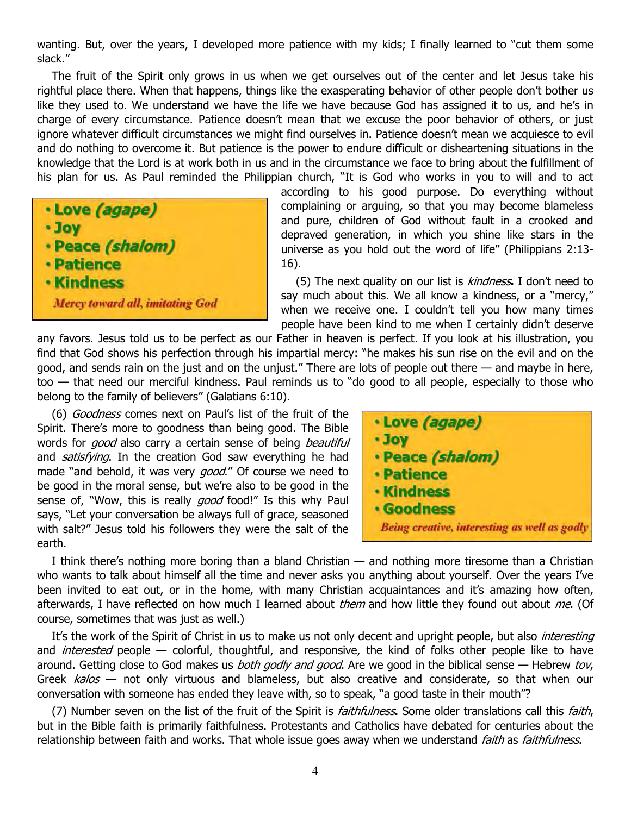wanting. But, over the years, I developed more patience with my kids; I finally learned to "cut them some slack."

The fruit of the Spirit only grows in us when we get ourselves out of the center and let Jesus take his rightful place there. When that happens, things like the exasperating behavior of other people don't bother us like they used to. We understand we have the life we have because God has assigned it to us, and he's in charge of every circumstance. Patience doesn't mean that we excuse the poor behavior of others, or just ignore whatever difficult circumstances we might find ourselves in. Patience doesn't mean we acquiesce to evil and do nothing to overcome it. But patience is the power to endure difficult or disheartening situations in the knowledge that the Lord is at work both in us and in the circumstance we face to bring about the fulfillment of his plan for us. As Paul reminded the Philippian church, "It is God who works in you to will and to act

- · Love (agape)
- $\cdot$  Joy
- · Peace (shalom)
- · Patience
- **· Kindness**

**Mercy toward all, imitating God** 

according to his good purpose. Do everything without complaining or arguing, so that you may become blameless and pure, children of God without fault in a crooked and depraved generation, in which you shine like stars in the universe as you hold out the word of life" (Philippians 2:13- 16).

(5) The next quality on our list is kindness**.** I don't need to say much about this. We all know a kindness, or a "mercy," when we receive one. I couldn't tell you how many times people have been kind to me when I certainly didn't deserve

any favors. Jesus told us to be perfect as our Father in heaven is perfect. If you look at his illustration, you find that God shows his perfection through his impartial mercy: "he makes his sun rise on the evil and on the good, and sends rain on the just and on the unjust." There are lots of people out there — and maybe in here, too — that need our merciful kindness. Paul reminds us to "do good to all people, especially to those who belong to the family of believers" (Galatians 6:10).

(6) Goodness comes next on Paul's list of the fruit of the Spirit. There's more to goodness than being good. The Bible words for *good* also carry a certain sense of being *beautiful* and *satisfying*. In the creation God saw everything he had made "and behold, it was very *good*." Of course we need to be good in the moral sense, but we're also to be good in the sense of, "Wow, this is really *good* food!" Is this why Paul says, "Let your conversation be always full of grace, seasoned with salt?" Jesus told his followers they were the salt of the earth.

- · Love (agape)
- **vot**
- · Peace (shalom)
- · Patience
- **· Kindness**
- **Goodness**

Being creative, interesting as well as godly

I think there's nothing more boring than a bland Christian — and nothing more tiresome than a Christian who wants to talk about himself all the time and never asks you anything about yourself. Over the years I've been invited to eat out, or in the home, with many Christian acquaintances and it's amazing how often, afterwards, I have reflected on how much I learned about *them* and how little they found out about me. (Of course, sometimes that was just as well.)

It's the work of the Spirit of Christ in us to make us not only decent and upright people, but also *interesting* and *interested* people — colorful, thoughtful, and responsive, the kind of folks other people like to have around. Getting close to God makes us *both godly and good*. Are we good in the biblical sense — Hebrew tov, Greek  $kalos$  — not only virtuous and blameless, but also creative and considerate, so that when our conversation with someone has ended they leave with, so to speak, "a good taste in their mouth"?

(7) Number seven on the list of the fruit of the Spirit is faithfulness**.** Some older translations call this faith, but in the Bible faith is primarily faithfulness. Protestants and Catholics have debated for centuries about the relationship between faith and works. That whole issue goes away when we understand *faith as faithfulness*.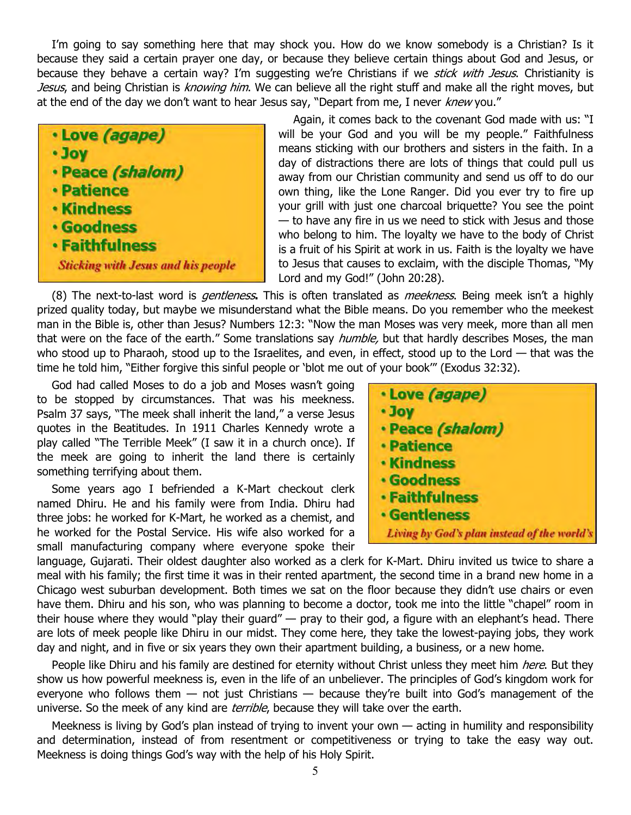I'm going to say something here that may shock you. How do we know somebody is a Christian? Is it because they said a certain prayer one day, or because they believe certain things about God and Jesus, or because they behave a certain way? I'm suggesting we're Christians if we stick with Jesus. Christianity is Jesus, and being Christian is knowing him. We can believe all the right stuff and make all the right moves, but at the end of the day we don't want to hear Jesus say, "Depart from me, I never *knew* you."



Again, it comes back to the covenant God made with us: "I will be your God and you will be my people." Faithfulness means sticking with our brothers and sisters in the faith. In a day of distractions there are lots of things that could pull us away from our Christian community and send us off to do our own thing, like the Lone Ranger. Did you ever try to fire up your grill with just one charcoal briquette? You see the point — to have any fire in us we need to stick with Jesus and those who belong to him. The loyalty we have to the body of Christ is a fruit of his Spirit at work in us. Faith is the loyalty we have to Jesus that causes to exclaim, with the disciple Thomas, "My Lord and my God!" (John 20:28).

(8) The next-to-last word is gentleness**.** This is often translated as meekness. Being meek isn't a highly prized quality today, but maybe we misunderstand what the Bible means. Do you remember who the meekest man in the Bible is, other than Jesus? Numbers 12:3: "Now the man Moses was very meek, more than all men that were on the face of the earth." Some translations say *humble*, but that hardly describes Moses, the man who stood up to Pharaoh, stood up to the Israelites, and even, in effect, stood up to the Lord — that was the time he told him, "Either forgive this sinful people or 'blot me out of your book'" (Exodus 32:32).

God had called Moses to do a job and Moses wasn't going to be stopped by circumstances. That was his meekness. Psalm 37 says, "The meek shall inherit the land," a verse Jesus quotes in the Beatitudes. In 1911 Charles Kennedy wrote a play called "The Terrible Meek" (I saw it in a church once). If the meek are going to inherit the land there is certainly something terrifying about them.

Some years ago I befriended a K-Mart checkout clerk named Dhiru. He and his family were from India. Dhiru had three jobs: he worked for K-Mart, he worked as a chemist, and he worked for the Postal Service. His wife also worked for a small manufacturing company where everyone spoke their

- · Love (agape)
- . Joy
- · Peace (shalom)
- · Patience
- **· Kindness**
- **Goodness**
- · Faithfulness
- **Gentleness**

Living by God's plan instead of the world's

language, Gujarati. Their oldest daughter also worked as a clerk for K-Mart. Dhiru invited us twice to share a meal with his family; the first time it was in their rented apartment, the second time in a brand new home in a Chicago west suburban development. Both times we sat on the floor because they didn't use chairs or even have them. Dhiru and his son, who was planning to become a doctor, took me into the little "chapel" room in their house where they would "play their guard" — pray to their god, a figure with an elephant's head. There are lots of meek people like Dhiru in our midst. They come here, they take the lowest-paying jobs, they work day and night, and in five or six years they own their apartment building, a business, or a new home.

People like Dhiru and his family are destined for eternity without Christ unless they meet him *here*. But they show us how powerful meekness is, even in the life of an unbeliever. The principles of God's kingdom work for everyone who follows them  $-$  not just Christians  $-$  because they're built into God's management of the universe. So the meek of any kind are *terrible*, because they will take over the earth.

Meekness is living by God's plan instead of trying to invent your own — acting in humility and responsibility and determination, instead of from resentment or competitiveness or trying to take the easy way out. Meekness is doing things God's way with the help of his Holy Spirit.